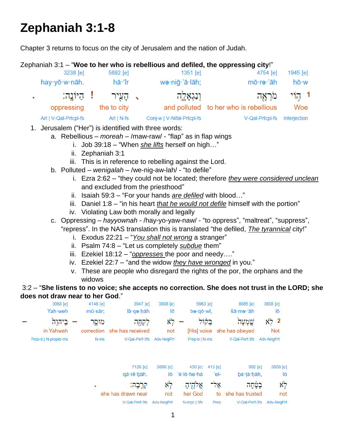## **Zephaniah 3:1-8**

Chapter 3 returns to focus on the city of Jerusalem and the nation of Judah.

Zephaniah 3:1 – "**Woe to her who is rebellious and defiled, the oppressing city**!"

| 3238 [e]              | 5892 [e]                | 1351 [e]                   | 4754 [e]                              | 1945 [e]     |
|-----------------------|-------------------------|----------------------------|---------------------------------------|--------------|
| hay yō w nāh.         | hā·'îr                  | wə·niğ·'ā·lāh;             | mō·rə·'āh                             | hō∙w         |
|                       | ַ, הַעִּיר ! הַיּוֹנֵה: | וְנִגְאָלֶה                | מראה                                  | 1 קוֹי       |
| oppressing            | the to city             |                            | and polluted to her who is rebellious | Woe          |
| Art   V-Qal-Prtcpl-fs | $Art   N-fs $           | Conj-w   V-Nifal-Prtcpl-fs | V-Qal-Prtcpl-fs                       | Interjection |

- 1. Jerusalem ("Her") is identified with three words:
	- a. Rebellious *moreah* /maw-raw/ "flap" as in flap wings
		- i. Job 39:18 "When *she lifts* herself on high…"
		- ii. Zephaniah 3:1
		- iii. This is in reference to rebelling against the Lord.
	- b. Polluted *wenigalah* /we-nig-aw-lah/ "to defile"
		- i. Ezra 2:62 "they could not be located; therefore *they were considered unclean* and excluded from the priesthood"
		- ii. Isaiah 59:3 "For your hands *are defiled* with blood…"
		- iii. Daniel 1:8 "in his heart *that he would not defile* himself with the portion"
		- iv. Violating Law both morally and legally
	- c. Oppressing *hayyownah* /hay-yo-yaw-naw/ "to oppress", "maltreat", "suppress", "repress". In the NAS translation this is translated "the defiled, *The tyrannical* city!"
		- i. Exodus 22:21 "*You shall not wrong* a stranger"
		- ii. Psalm 74:8 "Let us completely *subdue* them"
		- iii. Ezekiel 18:12 "*oppresses* the poor and needy…."
		- iv. Ezekiel 22:7 "and the widow *they have wronged* in you."
		- v. These are people who disregard the rights of the por, the orphans and the widows

3:2 – "**She listens to no voice; she accepts no correction. She does not trust in the LORD; she does not draw near to her God**."

| 3068 [e]             | 4148 [e]        | 3947 [e]                               | 3808 [e]   | 6963 [e]      |           | 8085 [e]               | 3808 [e]                         |
|----------------------|-----------------|----------------------------------------|------------|---------------|-----------|------------------------|----------------------------------|
| Yah weh              | $m\bar{u}$ sār; | lā·qe·hāh                              | lō         | bə·qō·wl,     |           | šā·me·'āh              | lō                               |
| ביהוה<br>in Yahweh   | מוּסֵר          | לְקְחָה<br>correction she has received | לא<br>not  | [His] voice   | בְּקּוֹל  | שמעה<br>she has obeyed | לא<br>$\mathbf{2}$<br><b>Not</b> |
| Prep-b   N-proper-ms | N-ms            | V-Qal-Perf-3fs                         | Adv-NegPrt | Prep-b   N-ms |           | V-Qal-Perf-3fs         | Adv-NegPrt                       |
|                      |                 | 7126 [e]                               | 3808 [e]   | 430 [e]       | 413 $[e]$ | 982 [e]                | 3808 [e]                         |
|                      |                 | qā·rê·bāh.                             | lō         | 'ĕ·lō·he·hā   | 'el-      | bā·tā·hāh,             | lō                               |
|                      | ٠               | קֵרֶבָה:                               | לא         | אֱלֹהֶיהָ     | אָל־      |                        | לא                               |
|                      |                 | she has drawn near                     | not        | her God       | to        | she has trusted        | not                              |
|                      |                 | V-Qal-Perf-3fs                         | Adv-NegPrt | N-mpc   3fs   | Prep      | V-Qal-Perf-3fs         | Adv-NegPrt                       |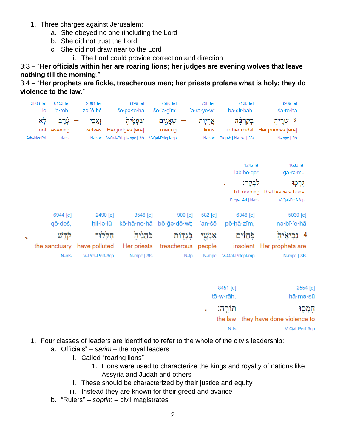- 1. Three charges against Jerusalem:
	- a. She obeyed no one (including the Lord
	- b. She did not trust the Lord
	- c. She did not draw near to the Lord
		- i. The Lord could provide correction and direction

## 3:3 – "**Her officials within her are roaring lions; her judges are evening wolves that leave nothing till the morning**."

3:4 – "**Her prophets are fickle, treacherous men; her priests profane what is holy; they do violence to the law**."



| 2554 [e]                           | 8451 [e]  |  |
|------------------------------------|-----------|--|
| hā·me·sū                           | tō·w·rāh. |  |
| הַמְסְוּ                           | חוֹרֵה:   |  |
| the law they have done violence to |           |  |
| V-Qal-Perf-3cp                     | $N-fs$    |  |

- 1. Four classes of leaders are identified to refer to the whole of the city's leadership:
	- a. Officials" *sarim* the royal leaders
		- i. Called "roaring lions"
			- 1. Lions were used to characterize the kings and royalty of nations like Assyria and Judah and others
		- ii. These should be characterized by their justice and equity
		- iii. Instead they are known for their greed and avarice
	- b. "Rulers" *soptim* civil magistrates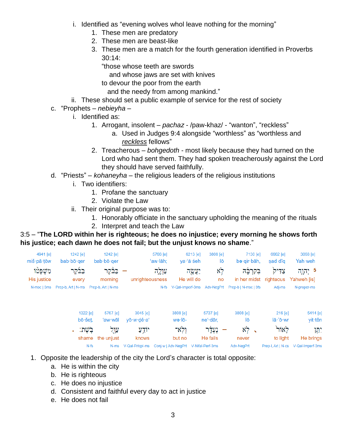- i. Identified as "evening wolves whol leave nothing for the morning"
	- 1. These men are predatory
	- 2. These men are beast-like
	- 3. These men are a match for the fourth generation identified in Proverbs 30:14:
		- "those whose teeth are swords
			- and whose jaws are set with knives
		- to devour the poor from the earth
		- and the needy from among mankind."
- ii. These should set a public example of service for the rest of society
- c. "Prophets *nebieyha*
	- i. Identified as:
		- 1. Arrogant, insolent *pachaz* /paw-khaz/ "wanton", "reckless"
			- a. Used in Judges 9:4 alongside "worthless" as "worthless and *reckless* fellows"
		- 2. Treacherous *bohgedoth* most likely because they had turned on the Lord who had sent them. They had spoken treacherously against the Lord they should have served faithfully.
- d. "Priests" *kohaneyha* the religious leaders of the religious institutions
	- i. Two identifiers:
		- 1. Profane the sanctuary
		- 2. Violate the Law
	- ii. Their original purpose was to:
		- 1. Honorably officiate in the sanctuary upholding the meaning of the rituals
		- 2. Interpret and teach the Law

## 3:5 – "**The LORD within her is righteous; he does no injustice; every morning he shows forth his justice; each dawn he does not fail; but the unjust knows no shame**."

| 4941 [e]<br>miš∙pā∙tōw | $1242$ [e]<br>$bab·b\bar{o}·qer$                        | $1242$ [e]<br>$bab·b\bar{o}·qer$ | 5766 [e]<br>'aw·lāh: | 6213 [e]<br>va∙'ă·śeh | 3808 [e]<br>lō | 7130 [e]<br>bə·qir·bāh,                               | 6662 [e]<br>sad∙dîɑ  | 3068 [e]<br>Yah·weh                |
|------------------------|---------------------------------------------------------|----------------------------------|----------------------|-----------------------|----------------|-------------------------------------------------------|----------------------|------------------------------------|
| משפטו                  | בַּבַּקֵר                                               | – בַּבֿקֵר                       | עולה                 | יַעֲשֶׂה              | $x_7$          |                                                       | צַדִּיקׂ בִּקְרְבָּה | 5 יִהְוָה                          |
| <b>His justice</b>     | every                                                   | morning                          | unrighteousness      | He will do            | no             |                                                       |                      | in her midst righteous Yahweh [is] |
|                        | N-msc   3ms    Prep-b, Art   N-ms    Prep-b, Art   N-ms |                                  |                      |                       |                | N-fs V-Qal-Imperf-3ms Adv-NegPrt Prep-b   N-msc   3fs | Adi-ms               | N-proper-ms                        |

| 1322 [e]          | 5767 [e]          | 3045 [e]   | 3808 [e]                                                  | 5737 [e] | 3808 [e]           | $216$ [e] | 5414 [e]                            |
|-------------------|-------------------|------------|-----------------------------------------------------------|----------|--------------------|-----------|-------------------------------------|
| $b\bar{o}$ · šet. | 'aw·wāl           | vō·w·dê·a' | wə·lō-                                                    | ne' dār. | lō                 | lā·'ō·wr  | vit tên                             |
|                   | עֲוַיִּל בִּשֶׁת: | יוֹדֵעַ    | ולא־                                                      | – נעדר   | $x \overline{z}$ . | לאור      | יתו                                 |
|                   | shame the unjust  | knows      | but no                                                    | He fails | never              | to light  | He brings                           |
| $N-fs$            |                   |            | N-ms V-Qal-Prtcpl-ms Conj-w   Adv-NegPrt V-Nifal-Perf-3ms |          | Adv-NegPrt         |           | Prep-I, Art   N-cs V-Qal-Imperf-3ms |

- 1. Opposite the leadership of the city the Lord's character is total opposite:
	- a. He is within the city
	- b. He is righteous
	- c. He does no injustice
	- d. Consistent and faithful every day to act in justice
	- e. He does not fail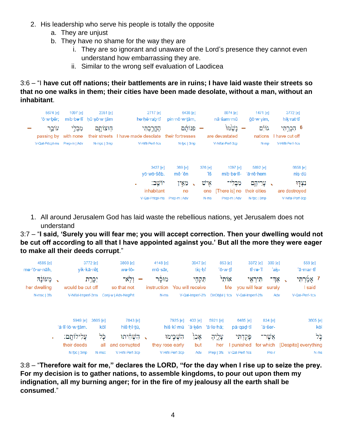- 2. His leadership who serve his people is totally the opposite
	- a. They are unjust
	- b. They have no shame for the way they are
		- i. They are so ignorant and unaware of the Lord's presence they cannot even understand how embarrassing they are.
		- ii. Similar to the wrong self evaluation of Laodicea

3:6 – "I **have cut off nations; their battlements are in ruins; I have laid waste their streets so that no one walks in them; their cities have been made desolate, without a man, without an inhabitant**.

| 5674 [e]<br>'ō·w·bêr: | 1097 [e]<br>mib·bə·lî | 2351 [e]<br>hū·sō·w·tām | 2717 [e]<br>he hĕ rab tî                                    | 6438 [e]<br>pin·nō·w·tām,                               |                    | 8074 [e]<br>nā šam mū                     | 1471 [e]<br>ğō∙w∙yim,                   | 3772 [e]<br>hik·rat·tî                                                 |
|-----------------------|-----------------------|-------------------------|-------------------------------------------------------------|---------------------------------------------------------|--------------------|-------------------------------------------|-----------------------------------------|------------------------------------------------------------------------|
| עוֹבֵר<br>passing by  | מִבְּלֵי<br>with none | חוצותם<br>their streets | קחֱרַבְתִּי<br>I have made desolate                         | פִּנּוֹתֵם<br>their fortresses                          |                    | נשמו<br>are devastated                    | גוֹיָם<br>nations                       | 6 הָכְרַתִּי<br>I have cut off                                         |
| V-Qal-Prtcpl-ms       | Prep-m   Adv          | N-mpc   3mp             | V-Hifil-Perf-1cs                                            | N-fpc   3mp                                             |                    | V-Nifal-Perf-3cp                          | N-mp                                    | V-Hifil-Perf-1cs                                                       |
|                       |                       |                         | 3427 [e]                                                    | 369 [e]                                                 | 376 [e]            | 1097 [e]                                  | 5892 [e]                                | 6658 [e]                                                               |
|                       |                       |                         | yō·wō·šêb.                                                  | mê∙'ên                                                  | ïš                 | mib·bə·lî-                                | 'ā·rê·hem                               | nis∙dū                                                                 |
|                       |                       |                         | יוֹשֵׁב:<br>$\blacksquare$<br>inhabitant<br>V-Qal-Prtcpl-ms | מאַין<br>$\overline{\phantom{0}}$<br>no<br>Prep-m   Adv | איש<br>one<br>N-ms | מִבָּלִי<br>[There is] no<br>Prep-m   Adv | עָרִיהֱם<br>their cities<br>N-fpc   3mp | נְצְדָוּ<br>$\tilde{\phantom{a}}$<br>are destroyed<br>V-Nifal-Perf-3cp |

1. All around Jerusalem God has laid waste the rebellious nations, yet Jerusalem does not understand

3:7 – "**I said, 'Surely you will fear me; you will accept correction. Then your dwelling would not be cut off according to all that I have appointed against you.' But all the more they were eager to make all their deeds corrupt**."

| 4585 [e]<br>mə·'ō·w·nāh, |                 | vik·kā·rêt                  | 3772 [e]        | 3808 [e]<br>we·lō-                     | 4148 [e]<br>$m\bar{u}$ sār. |                  | 3947 [e]<br>tiq hî            | 853 [e]<br>'ō∙w∙tî    |                                | 3372 [e]<br>tî∙rə∙'î | $389$ [e]<br>'ak-  | 559 [e]<br>'ā·mar·tî                            |
|--------------------------|-----------------|-----------------------------|-----------------|----------------------------------------|-----------------------------|------------------|-------------------------------|-----------------------|--------------------------------|----------------------|--------------------|-------------------------------------------------|
| מעונה<br>her dwelling    |                 | would be cut off            | יִכָּרֶת        | ולא־<br>so that not                    | מוּסֹר<br>instruction       |                  | תִּקְחֶי<br>You will receive  | אותי                  | Me you will fear surely        | חִירְאֵי             | ר אַד              | ַ אָמַקְרְתֵּי<br>I said                        |
| N-msc   3fs              |                 |                             |                 | V-Nifal-Imperf-3ms Coni-w   Adv-NegPrt | N-ms                        |                  | V-Qal-Imperf-2fs              |                       | DirObiM   1cs V-Qal-Imperf-2fs |                      | Adv                | V-Qal-Perf-1cs                                  |
|                          | 'ă·lî·lō·w·tām. | 5949 [e]                    | 3605 [e]<br>kōl | 7843 [e]<br>hiš·hî·tū,                 |                             | 7925 [e]         | $403$ [e]<br>hiš·kî·mū 'ā·kên | 5921 [e]<br>'ā∙le∙hā: | 6485 [e]<br>pā∙qad∙tî          |                      | 834 [e]<br>'ă·šer- | 3605 [e]<br>kōl                                 |
| $\mathbf{r}$             |                 | עֲלִילוֹתֵם:<br>their deeds | כל<br>all       | הַשָּׁחָיתוּ<br>and corrupted          | they rose early             | השׁבִּימוּ       | אָכֶן<br>but                  | עֲלֵיהָ<br>her        | פַּקְדְחִי                     |                      | אַשר־              | לל<br>I punished for which [Despite] everything |
|                          |                 | N-fpc   3mp                 | N-msc           | V-Hifil-Perf-3cp                       |                             | V-Hifil-Perf-3cp | Adv                           |                       | Prep   3fs V-Qal-Perf-1cs      |                      | Pro-r              | N-ms                                            |

3:8 – "**Therefore wait for me," declares the LORD, "for the day when I rise up to seize the prey. For my decision is to gather nations, to assemble kingdoms, to pour out upon them my indignation, all my burning anger; for in the fire of my jealousy all the earth shall be consumed**."